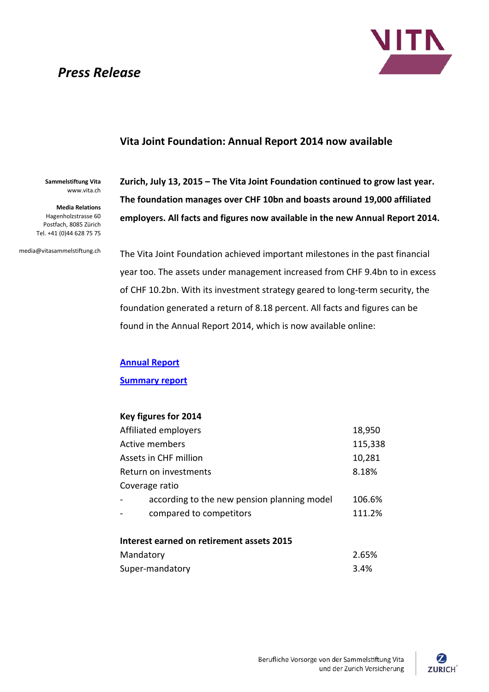## *Press Release*



## **Vita Joint Foundation: Annual Report 2014 now available**

**Sammelstiftung Vita** www.vita.ch

**Media Relations** Hagenholzstrasse 60 Postfach, 8085 Zürich Tel. +41 (0)44 628 75 75

media@vitasammelstiftung.ch

**Zurich, July 13, 2015 – The Vita Joint Foundation continued to grow last year. The foundation manages over CHF 10bn and boasts around 19,000 affiliated employers. All facts and figures now available in the new Annual Report 2014.**

The Vita Joint Foundation achieved important milestones in the past financial year too. The assets under management increased from CHF 9.4bn to in excess of CHF 10.2bn. With its investment strategy geared to long-term security, the foundation generated a return of 8.18 percent. All facts and figures can be found in the Annual Report 2014, which is now available online:

**[Annual Report](http://media.zurich.com/switzerland/Geschaeftsbericht_2014/en/index.html)**

**[Summary report](http://media.zurich.com/switzerland/Geschaeftsbericht_Kurzbericht_2014/en/index.html)**

## **Key figures for 2014**

| Affiliated employers                        | 18,950  |
|---------------------------------------------|---------|
| Active members                              | 115,338 |
| Assets in CHF million                       | 10,281  |
| Return on investments                       | 8.18%   |
| Coverage ratio                              |         |
| according to the new pension planning model | 106.6%  |
| compared to competitors                     | 111.2%  |
|                                             |         |
| Interest earned on retirement assets 2015   |         |
| <b>MAAAAA+A</b>                             | n cros  |

| Mandatory       | 2.65% |
|-----------------|-------|
| Super-mandatory | 3.4%  |